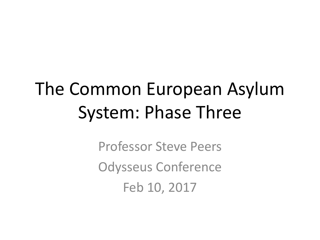## The Common European Asylum System: Phase Three

Professor Steve Peers Odysseus Conference Feb 10, 2017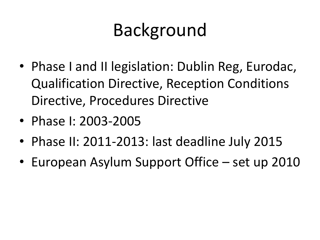## Background

- Phase I and II legislation: Dublin Reg, Eurodac, Qualification Directive, Reception Conditions Directive, Procedures Directive
- Phase I: 2003-2005
- Phase II: 2011-2013: last deadline July 2015
- European Asylum Support Office set up 2010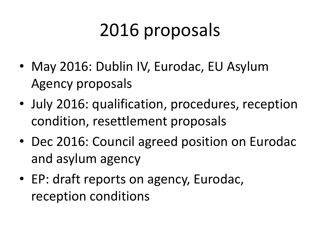# 2016 proposals

- May 2016: Dublin IV, Eurodac, EU Asylum Agency proposals
- July 2016: qualification, procedures, reception condition, resettlement proposals
- Dec 2016: Council agreed position on Eurodac and asylum agency
- EP: draft reports on agency, Eurodac, reception conditions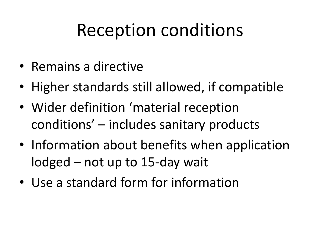- Remains a directive
- Higher standards still allowed, if compatible
- Wider definition 'material reception conditions' – includes sanitary products
- Information about benefits when application lodged – not up to 15-day wait
- Use a standard form for information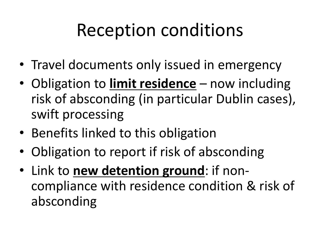- Travel documents only issued in emergency
- Obligation to **limit residence** now including risk of absconding (in particular Dublin cases), swift processing
- Benefits linked to this obligation
- Obligation to report if risk of absconding
- Link to **new detention ground**: if noncompliance with residence condition & risk of absconding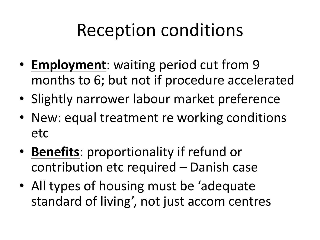- **Employment**: waiting period cut from 9 months to 6; but not if procedure accelerated
- Slightly narrower labour market preference
- New: equal treatment re working conditions etc
- **Benefits**: proportionality if refund or contribution etc required – Danish case
- All types of housing must be 'adequate standard of living', not just accom centres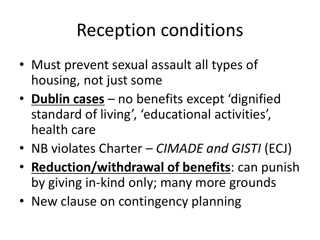- Must prevent sexual assault all types of housing, not just some
- **Dublin cases** no benefits except 'dignified standard of living', 'educational activities', health care
- NB violates Charter *CIMADE and GISTI* (ECJ)
- **Reduction/withdrawal of benefits**: can punish by giving in-kind only; many more grounds
- New clause on contingency planning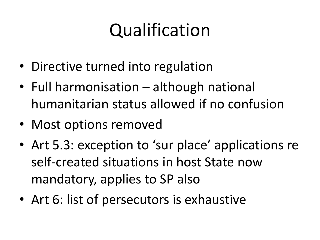- Directive turned into regulation
- Full harmonisation although national humanitarian status allowed if no confusion
- Most options removed
- Art 5.3: exception to 'sur place' applications re self-created situations in host State now mandatory, applies to SP also
- Art 6: list of persecutors is exhaustive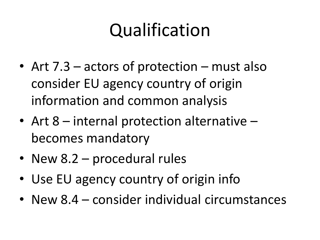- Art 7.3 actors of protection must also consider EU agency country of origin information and common analysis
- Art  $8$  internal protection alternative becomes mandatory
- New 8.2 procedural rules
- Use EU agency country of origin info
- New 8.4 consider individual circumstances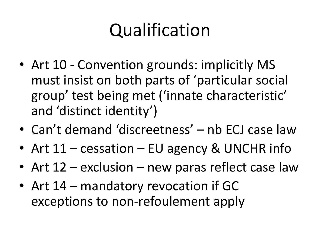- Art 10 Convention grounds: implicitly MS must insist on both parts of 'particular social group' test being met ('innate characteristic' and 'distinct identity')
- Can't demand 'discreetness' nb ECJ case law
- Art 11 cessation EU agency & UNCHR info
- Art 12 exclusion new paras reflect case law
- Art 14 mandatory revocation if GC exceptions to non-refoulement apply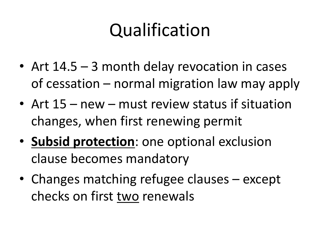- Art 14.5 3 month delay revocation in cases of cessation – normal migration law may apply
- Art 15 new must review status if situation changes, when first renewing permit
- **Subsid protection**: one optional exclusion clause becomes mandatory
- Changes matching refugee clauses except checks on first two renewals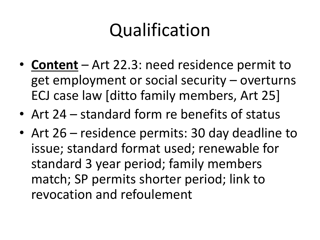- **Content** Art 22.3: need residence permit to get employment or social security – overturns ECJ case law [ditto family members, Art 25]
- Art 24 standard form re benefits of status
- Art 26 residence permits: 30 day deadline to issue; standard format used; renewable for standard 3 year period; family members match; SP permits shorter period; link to revocation and refoulement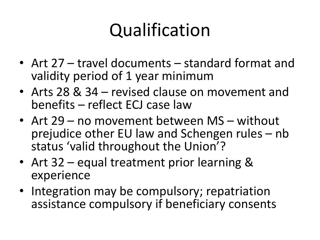- Art 27 travel documents standard format and validity period of 1 year minimum
- Arts 28 & 34 revised clause on movement and benefits – reflect ECJ case law
- Art 29 no movement between MS without prejudice other EU law and Schengen rules – nb status 'valid throughout the Union'?
- Art 32 equal treatment prior learning & experience
- Integration may be compulsory; repatriation assistance compulsory if beneficiary consents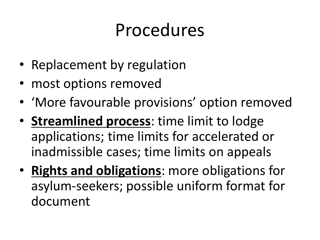- Replacement by regulation
- most options removed
- 'More favourable provisions' option removed
- **Streamlined process**: time limit to lodge applications; time limits for accelerated or inadmissible cases; time limits on appeals
- **Rights and obligations**: more obligations for asylum-seekers; possible uniform format for document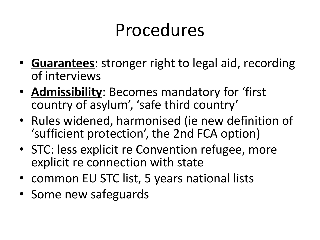- **Guarantees**: stronger right to legal aid, recording of interviews
- **Admissibility**: Becomes mandatory for 'first country of asylum' , 'safe third country'
- Rules widened, harmonised (ie new definition of 'sufficient protection', the 2nd FCA option)
- STC: less explicit re Convention refugee, more explicit re connection with state
- common EU STC list, 5 years national lists
- Some new safeguards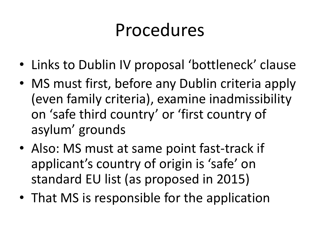- Links to Dublin IV proposal 'bottleneck' clause
- MS must first, before any Dublin criteria apply (even family criteria), examine inadmissibility on 'safe third country' or 'first country of asylum' grounds
- Also: MS must at same point fast-track if applicant's country of origin is 'safe' on standard EU list (as proposed in 2015)
- That MS is responsible for the application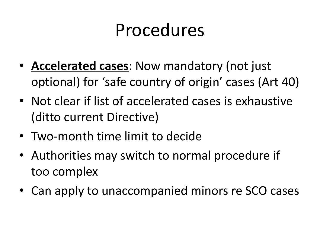- **Accelerated cases**: Now mandatory (not just optional) for 'safe country of origin' cases (Art 40)
- Not clear if list of accelerated cases is exhaustive (ditto current Directive)
- Two-month time limit to decide
- Authorities may switch to normal procedure if too complex
- Can apply to unaccompanied minors re SCO cases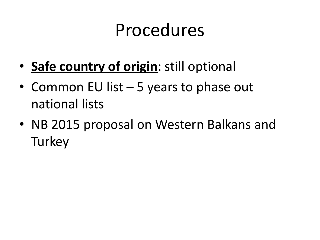- **Safe country of origin**: still optional
- Common EU list 5 years to phase out national lists
- NB 2015 proposal on Western Balkans and **Turkey**